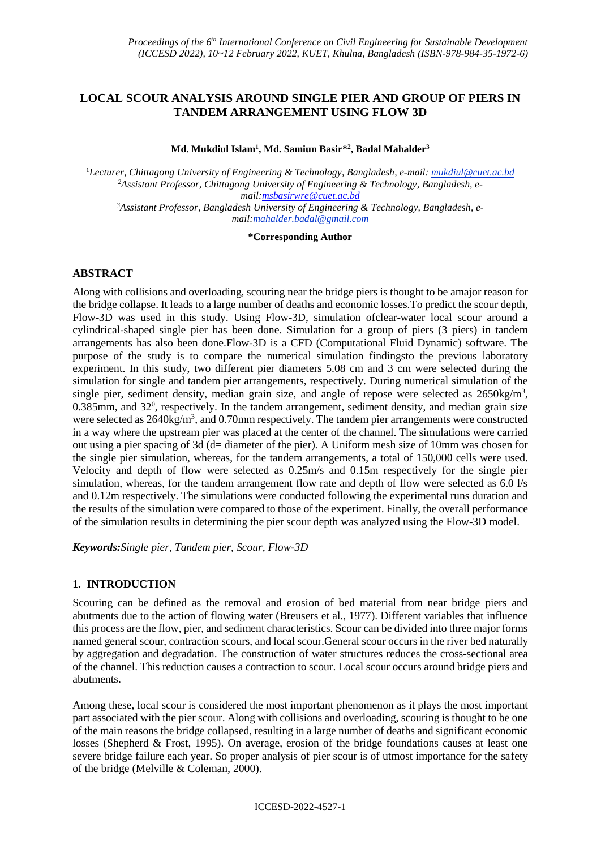# **LOCAL SCOUR ANALYSIS AROUND SINGLE PIER AND GROUP OF PIERS IN TANDEM ARRANGEMENT USING FLOW 3D**

**Md. Mukdiul Islam<sup>1</sup> , Md. Samiun Basir\* 2 , Badal Mahalder<sup>3</sup>**

<sup>1</sup>*Lecturer, Chittagong University of Engineering & Technology, Bangladesh, e-mail: mukdiul@cuet.ac.bd 2Assistant Professor, Chittagong University of Engineering & Technology, Bangladesh, email[:msbasirwre@cuet.ac.bd](mailto:msbasirwre@cuet.ac.bd) <sup>3</sup>Assistant Professor, Bangladesh University of Engineering & Technology, Bangladesh, email:mahalder.badal@gmail.com*

**\*Corresponding Author**

## **ABSTRACT**

Along with collisions and overloading, scouring near the bridge piers is thought to be amajor reason for the bridge collapse. It leads to a large number of deaths and economic losses.To predict the scour depth, Flow-3D was used in this study. Using Flow-3D, simulation ofclear-water local scour around a cylindrical-shaped single pier has been done. Simulation for a group of piers (3 piers) in tandem arrangements has also been done.Flow-3D is a CFD (Computational Fluid Dynamic) software. The purpose of the study is to compare the numerical simulation findingsto the previous laboratory experiment. In this study, two different pier diameters 5.08 cm and 3 cm were selected during the simulation for single and tandem pier arrangements, respectively. During numerical simulation of the single pier, sediment density, median grain size, and angle of repose were selected as  $2650\text{kg/m}^3$ , 0.385mm, and 32<sup>0</sup>, respectively. In the tandem arrangement, sediment density, and median grain size were selected as 2640kg/m<sup>3</sup>, and 0.70mm respectively. The tandem pier arrangements were constructed in a way where the upstream pier was placed at the center of the channel. The simulations were carried out using a pier spacing of 3d (d= diameter of the pier). A Uniform mesh size of 10mm was chosen for the single pier simulation, whereas, for the tandem arrangements, a total of 150,000 cells were used. Velocity and depth of flow were selected as 0.25m/s and 0.15m respectively for the single pier simulation, whereas, for the tandem arrangement flow rate and depth of flow were selected as 6.0 l/s and 0.12m respectively. The simulations were conducted following the experimental runs duration and the results of the simulation were compared to those of the experiment. Finally, the overall performance of the simulation results in determining the pier scour depth was analyzed using the Flow-3D model.

*Keywords:Single pier, Tandem pier, Scour, Flow-3D*

## **1. INTRODUCTION**

Scouring can be defined as the removal and erosion of bed material from near bridge piers and abutments due to the action of flowing water (Breusers et al., 1977). Different variables that influence this process are the flow, pier, and sediment characteristics. Scour can be divided into three major forms named general scour, contraction scours, and local scour.General scour occurs in the river bed naturally by aggregation and degradation. The construction of water structures reduces the cross-sectional area of the channel. This reduction causes a contraction to scour. Local scour occurs around bridge piers and abutments.

Among these, local scour is considered the most important phenomenon as it plays the most important part associated with the pier scour. Along with collisions and overloading, scouring is thought to be one of the main reasons the bridge collapsed, resulting in a large number of deaths and significant economic losses (Shepherd & Frost, 1995). On average, erosion of the bridge foundations causes at least one severe bridge failure each year. So proper analysis of pier scour is of utmost importance for the safety of the bridge (Melville & Coleman, 2000).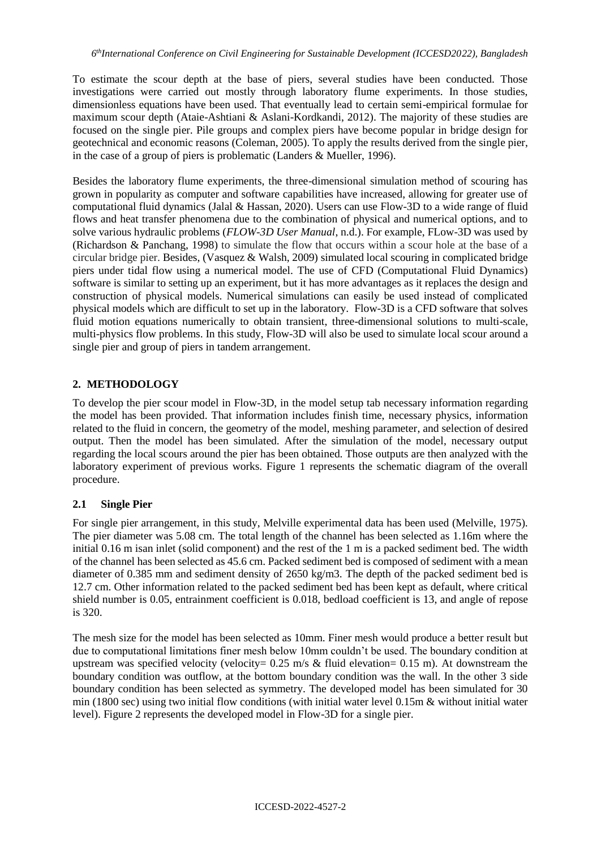To estimate the scour depth at the base of piers, several studies have been conducted. Those investigations were carried out mostly through laboratory flume experiments. In those studies, dimensionless equations have been used. That eventually lead to certain semi-empirical formulae for maximum scour depth (Ataie-Ashtiani & Aslani-Kordkandi, 2012). The majority of these studies are focused on the single pier. Pile groups and complex piers have become popular in bridge design for geotechnical and economic reasons (Coleman, 2005). To apply the results derived from the single pier, in the case of a group of piers is problematic (Landers & Mueller, 1996).

Besides the laboratory flume experiments, the three-dimensional simulation method of scouring has grown in popularity as computer and software capabilities have increased, allowing for greater use of computational fluid dynamics (Jalal & Hassan, 2020). Users can use Flow-3D to a wide range of fluid flows and heat transfer phenomena due to the combination of physical and numerical options, and to solve various hydraulic problems (*FLOW-3D User Manual*, n.d.). For example, FLow-3D was used by (Richardson & Panchang, 1998) to simulate the flow that occurs within a scour hole at the base of a circular bridge pier. Besides, (Vasquez & Walsh, 2009) simulated local scouring in complicated bridge piers under tidal flow using a numerical model. The use of CFD (Computational Fluid Dynamics) software is similar to setting up an experiment, but it has more advantages as it replaces the design and construction of physical models. Numerical simulations can easily be used instead of complicated physical models which are difficult to set up in the laboratory. Flow-3D is a CFD software that solves fluid motion equations numerically to obtain transient, three-dimensional solutions to multi-scale, multi-physics flow problems. In this study, Flow-3D will also be used to simulate local scour around a single pier and group of piers in tandem arrangement.

# **2. METHODOLOGY**

To develop the pier scour model in Flow-3D, in the model setup tab necessary information regarding the model has been provided. That information includes finish time, necessary physics, information related to the fluid in concern, the geometry of the model, meshing parameter, and selection of desired output. Then the model has been simulated. After the simulation of the model, necessary output regarding the local scours around the pier has been obtained. Those outputs are then analyzed with the laboratory experiment of previous works. Figure 1 represents the schematic diagram of the overall procedure.

## **2.1 Single Pier**

For single pier arrangement, in this study, Melville experimental data has been used (Melville, 1975). The pier diameter was 5.08 cm. The total length of the channel has been selected as 1.16m where the initial 0.16 m isan inlet (solid component) and the rest of the 1 m is a packed sediment bed. The width of the channel has been selected as 45.6 cm. Packed sediment bed is composed of sediment with a mean diameter of 0.385 mm and sediment density of 2650 kg/m3. The depth of the packed sediment bed is 12.7 cm. Other information related to the packed sediment bed has been kept as default, where critical shield number is 0.05, entrainment coefficient is 0.018, bedload coefficient is 13, and angle of repose is 320.

The mesh size for the model has been selected as 10mm. Finer mesh would produce a better result but due to computational limitations finer mesh below 10mm couldn't be used. The boundary condition at upstream was specified velocity (velocity=  $0.25$  m/s & fluid elevation=  $0.15$  m). At downstream the boundary condition was outflow, at the bottom boundary condition was the wall. In the other 3 side boundary condition has been selected as symmetry. The developed model has been simulated for 30 min (1800 sec) using two initial flow conditions (with initial water level 0.15m & without initial water level). Figure 2 represents the developed model in Flow-3D for a single pier.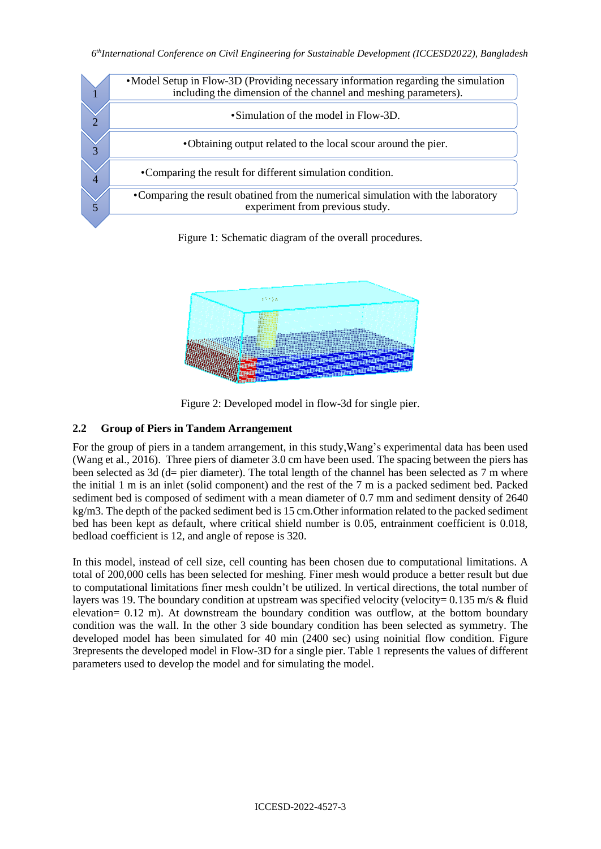

Figure 1: Schematic diagram of the overall procedures.



Figure 2: Developed model in flow-3d for single pier.

# **2.2 Group of Piers in Tandem Arrangement**

For the group of piers in a tandem arrangement, in this study,Wang's experimental data has been used (Wang et al., 2016). Three piers of diameter 3.0 cm have been used. The spacing between the piers has been selected as 3d (d= pier diameter). The total length of the channel has been selected as 7 m where the initial 1 m is an inlet (solid component) and the rest of the 7 m is a packed sediment bed. Packed sediment bed is composed of sediment with a mean diameter of 0.7 mm and sediment density of 2640 kg/m3. The depth of the packed sediment bed is 15 cm.Other information related to the packed sediment bed has been kept as default, where critical shield number is 0.05, entrainment coefficient is 0.018, bedload coefficient is 12, and angle of repose is 320.

In this model, instead of cell size, cell counting has been chosen due to computational limitations. A total of 200,000 cells has been selected for meshing. Finer mesh would produce a better result but due to computational limitations finer mesh couldn't be utilized. In vertical directions, the total number of layers was 19. The boundary condition at upstream was specified velocity (velocity= 0.135 m/s & fluid elevation= 0.12 m). At downstream the boundary condition was outflow, at the bottom boundary condition was the wall. In the other 3 side boundary condition has been selected as symmetry. The developed model has been simulated for 40 min (2400 sec) using noinitial flow condition. Figure 3represents the developed model in Flow-3D for a single pier. Table 1 represents the values of different parameters used to develop the model and for simulating the model.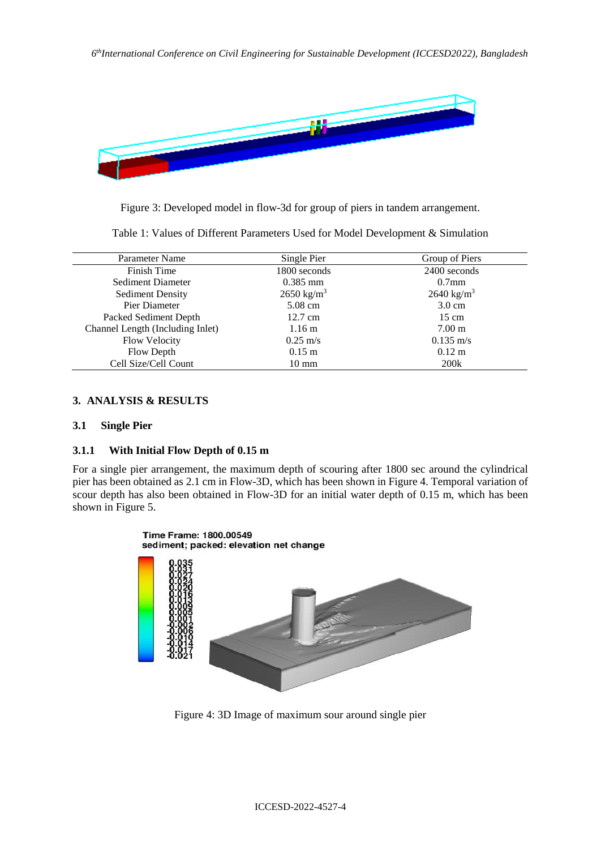

Figure 3: Developed model in flow-3d for group of piers in tandem arrangement.

Table 1: Values of Different Parameters Used for Model Development & Simulation

| Parameter Name                   | Single Pier           | Group of Piers        |
|----------------------------------|-----------------------|-----------------------|
| Finish Time                      | 1800 seconds          | 2400 seconds          |
| Sediment Diameter                | $0.385$ mm            | $0.7$ mm              |
| <b>Sediment Density</b>          | $2650 \text{ kg/m}^3$ | $2640 \text{ kg/m}^3$ |
| Pier Diameter                    | $5.08 \text{ cm}$     | $3.0 \text{ cm}$      |
| Packed Sediment Depth            | $12.7 \text{ cm}$     | $15 \text{ cm}$       |
| Channel Length (Including Inlet) | $1.16 \text{ m}$      | $7.00 \text{ m}$      |
| <b>Flow Velocity</b>             | $0.25 \text{ m/s}$    | $0.135 \text{ m/s}$   |
| Flow Depth                       | $0.15 \;{\rm m}$      | $0.12 \text{ m}$      |
| Cell Size/Cell Count             | $10 \text{ mm}$       | 200k                  |

## **3. ANALYSIS & RESULTS**

## **3.1 Single Pier**

#### **3.1.1 With Initial Flow Depth of 0.15 m**

For a single pier arrangement, the maximum depth of scouring after 1800 sec around the cylindrical pier has been obtained as 2.1 cm in Flow-3D, which has been shown in Figure 4. Temporal variation of scour depth has also been obtained in Flow-3D for an initial water depth of 0.15 m, which has been shown in Figure 5.



Figure 4: 3D Image of maximum sour around single pier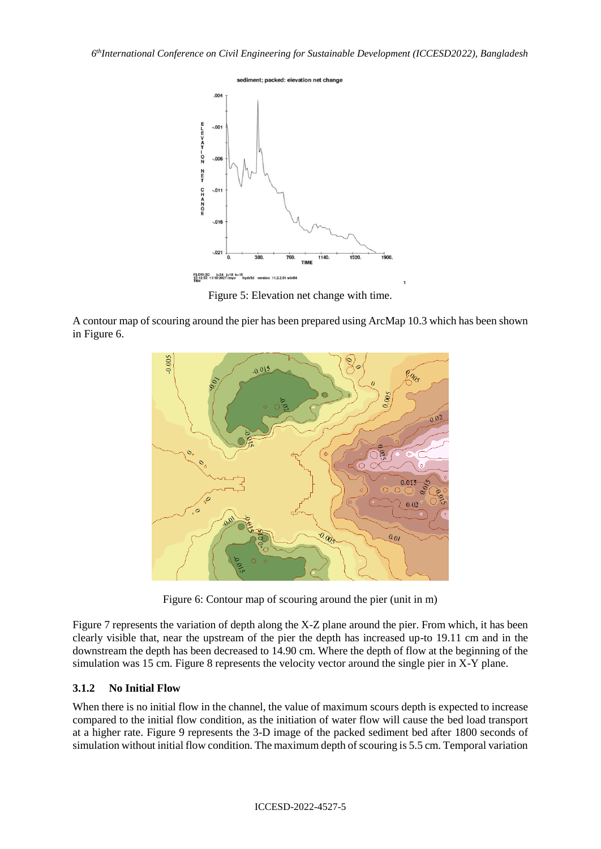

Figure 5: Elevation net change with time.

A contour map of scouring around the pier has been prepared using ArcMap 10.3 which has been shown in Figure 6.



Figure 6: Contour map of scouring around the pier (unit in m)

Figure 7 represents the variation of depth along the X-Z plane around the pier. From which, it has been clearly visible that, near the upstream of the pier the depth has increased up-to 19.11 cm and in the downstream the depth has been decreased to 14.90 cm. Where the depth of flow at the beginning of the simulation was 15 cm. Figure 8 represents the velocity vector around the single pier in X-Y plane.

## **3.1.2 No Initial Flow**

When there is no initial flow in the channel, the value of maximum scours depth is expected to increase compared to the initial flow condition, as the initiation of water flow will cause the bed load transport at a higher rate. Figure 9 represents the 3-D image of the packed sediment bed after 1800 seconds of simulation without initial flow condition. The maximum depth of scouring is 5.5 cm. Temporal variation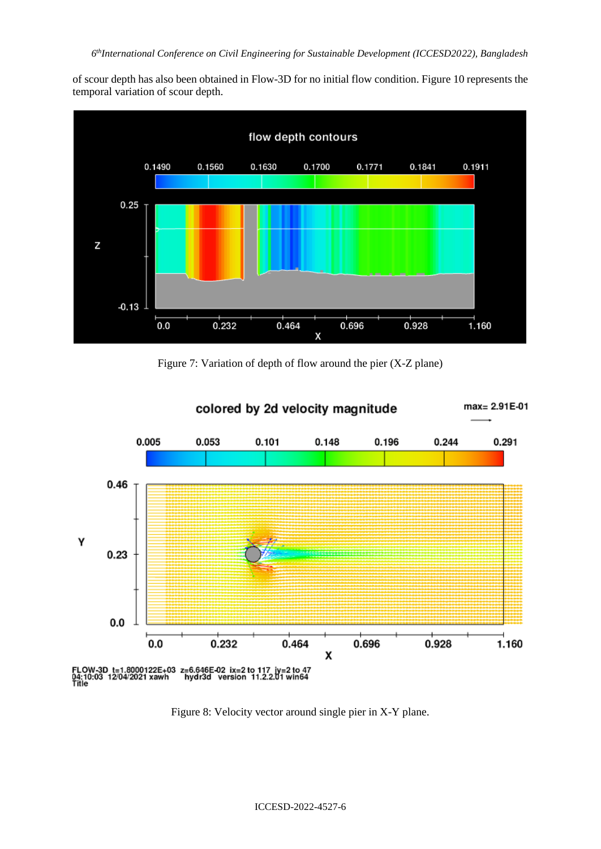of scour depth has also been obtained in Flow-3D for no initial flow condition. Figure 10 represents the temporal variation of scour depth.



Figure 7: Variation of depth of flow around the pier (X-Z plane)



Figure 8: Velocity vector around single pier in X-Y plane.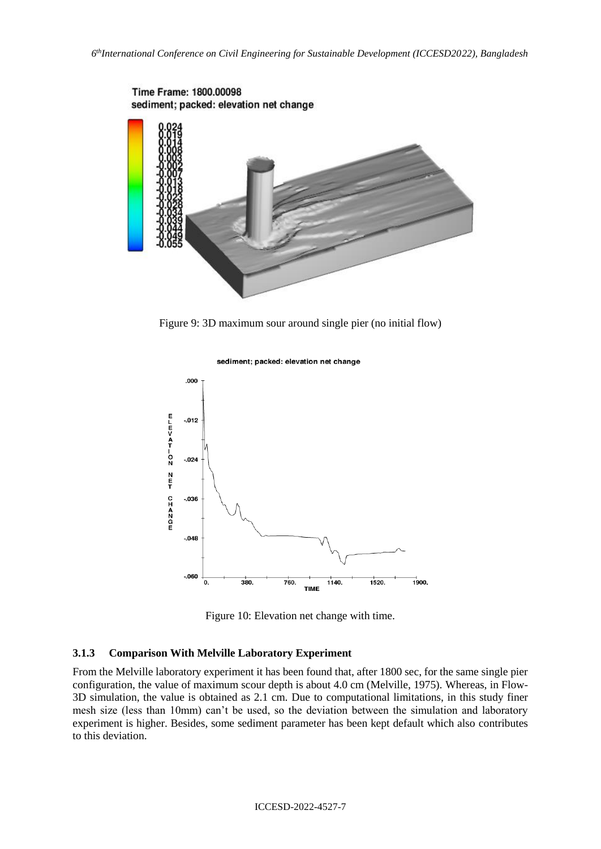

Figure 9: 3D maximum sour around single pier (no initial flow)



sediment; packed: elevation net change



#### **3.1.3 Comparison With Melville Laboratory Experiment**

From the Melville laboratory experiment it has been found that, after 1800 sec, for the same single pier configuration, the value of maximum scour depth is about 4.0 cm (Melville, 1975). Whereas, in Flow-3D simulation, the value is obtained as 2.1 cm. Due to computational limitations, in this study finer mesh size (less than 10mm) can't be used, so the deviation between the simulation and laboratory experiment is higher. Besides, some sediment parameter has been kept default which also contributes to this deviation.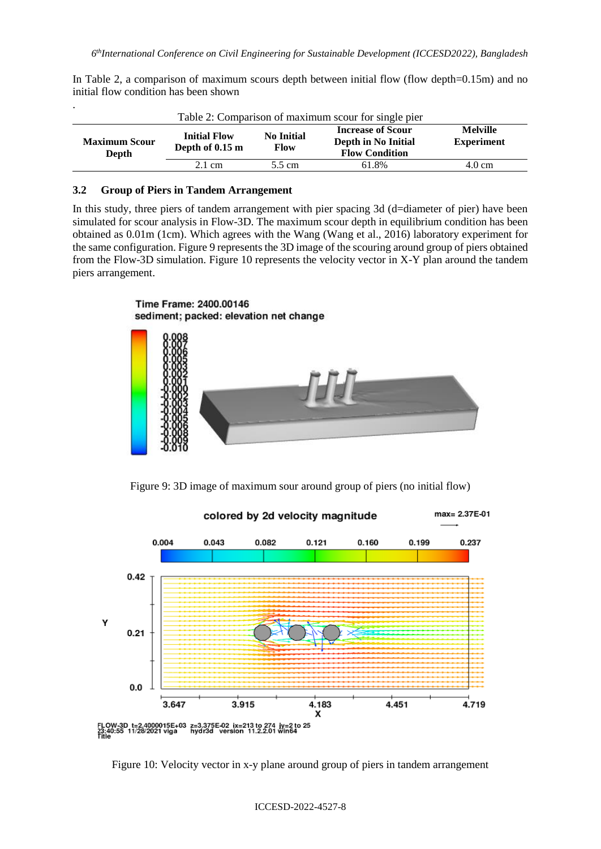| In Table 2, a comparison of maximum scours depth between initial flow (flow depth=0.15m) and no |  |  |  |
|-------------------------------------------------------------------------------------------------|--|--|--|
| initial flow condition has been shown                                                           |  |  |  |

| $\bullet$<br>Table 2: Comparison of maximum scour for single pier |                                        |                                  |                                                                          |                                      |  |  |
|-------------------------------------------------------------------|----------------------------------------|----------------------------------|--------------------------------------------------------------------------|--------------------------------------|--|--|
| <b>Maximum Scour</b><br>Depth                                     | <b>Initial Flow</b><br>Depth of 0.15 m | <b>No Initial</b><br><b>Flow</b> | <b>Increase of Scour</b><br>Depth in No Initial<br><b>Flow Condition</b> | <b>Melville</b><br><b>Experiment</b> |  |  |
|                                                                   | $2.1 \text{ cm}$                       | 5.5 cm                           | 61.8%                                                                    | 4.0 cm                               |  |  |

#### **3.2 Group of Piers in Tandem Arrangement**

In this study, three piers of tandem arrangement with pier spacing 3d (d=diameter of pier) have been simulated for scour analysis in Flow-3D. The maximum scour depth in equilibrium condition has been obtained as 0.01m (1cm). Which agrees with the Wang (Wang et al., 2016) laboratory experiment for the same configuration. Figure 9 represents the 3D image of the scouring around group of piers obtained from the Flow-3D simulation. Figure 10 represents the velocity vector in X-Y plan around the tandem piers arrangement.





Figure 9: 3D image of maximum sour around group of piers (no initial flow)



Figure 10: Velocity vector in x-y plane around group of piers in tandem arrangement